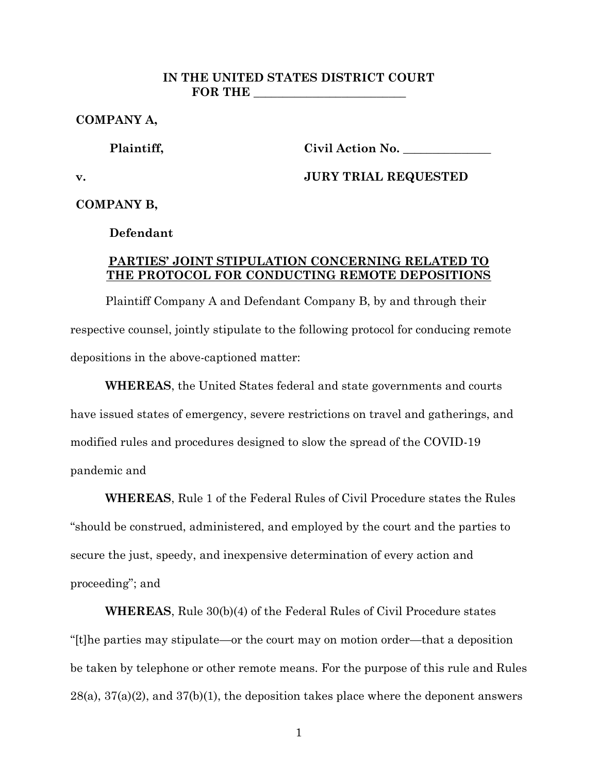## **IN THE UNITED STATES DISTRICT COURT FOR THE \_\_\_\_\_\_\_\_\_\_\_\_\_\_\_\_\_\_\_\_\_\_\_\_\_\_**

**COMPANY A,**

**Plaintiff,**

**Civil Action No. \_\_\_\_\_\_\_\_\_\_\_\_\_\_\_**

**v.**

**JURY TRIAL REQUESTED**

**COMPANY B,**

**Defendant**

## **PARTIES' JOINT STIPULATION CONCERNING RELATED TO THE PROTOCOL FOR CONDUCTING REMOTE DEPOSITIONS**

Plaintiff Company A and Defendant Company B, by and through their respective counsel, jointly stipulate to the following protocol for conducing remote depositions in the above-captioned matter:

**WHEREAS**, the United States federal and state governments and courts have issued states of emergency, severe restrictions on travel and gatherings, and modified rules and procedures designed to slow the spread of the COVID-19 pandemic and

**WHEREAS**, Rule 1 of the Federal Rules of Civil Procedure states the Rules "should be construed, administered, and employed by the court and the parties to secure the just, speedy, and inexpensive determination of every action and proceeding"; and

**WHEREAS**, Rule 30(b)(4) of the Federal Rules of Civil Procedure states "[t]he parties may stipulate—or the court may on motion order—that a deposition be taken by telephone or other remote means. For the purpose of this rule and Rules  $28(a)$ ,  $37(a)(2)$ , and  $37(b)(1)$ , the deposition takes place where the deponent answers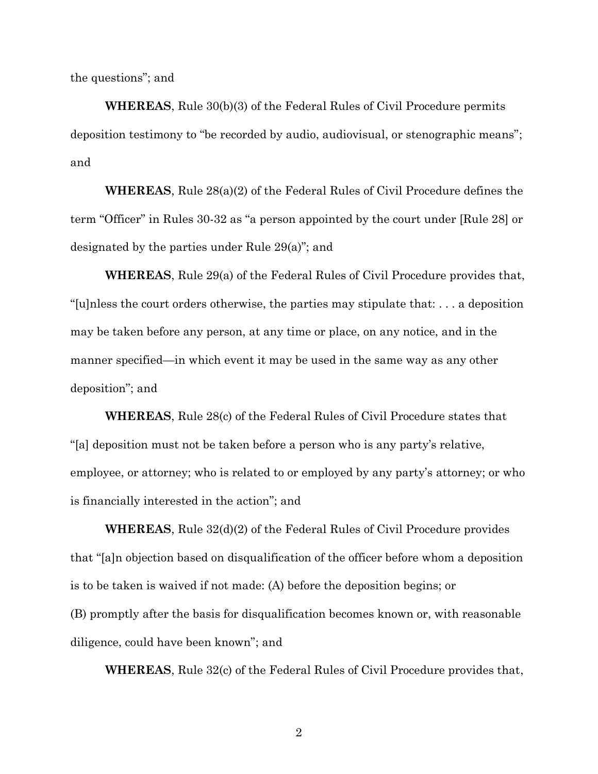the questions"; and

**WHEREAS**, Rule 30(b)(3) of the Federal Rules of Civil Procedure permits deposition testimony to "be recorded by audio, audiovisual, or stenographic means"; and

**WHEREAS**, Rule 28(a)(2) of the Federal Rules of Civil Procedure defines the term "Officer" in Rules 30-32 as "a person appointed by the court under [Rule 28] or designated by the parties under Rule 29(a)"; and

**WHEREAS**, Rule 29(a) of the Federal Rules of Civil Procedure provides that, "[u]nless the court orders otherwise, the parties may stipulate that: . . . a deposition may be taken before any person, at any time or place, on any notice, and in the manner specified—in which event it may be used in the same way as any other deposition"; and

**WHEREAS**, Rule 28(c) of the Federal Rules of Civil Procedure states that "[a] deposition must not be taken before a person who is any party's relative, employee, or attorney; who is related to or employed by any party's attorney; or who is financially interested in the action"; and

**WHEREAS**, Rule 32(d)(2) of the Federal Rules of Civil Procedure provides that "[a]n objection based on disqualification of the officer before whom a deposition is to be taken is waived if not made: (A) before the deposition begins; or (B) promptly after the basis for disqualification becomes known or, with reasonable diligence, could have been known"; and

**WHEREAS**, Rule 32(c) of the Federal Rules of Civil Procedure provides that,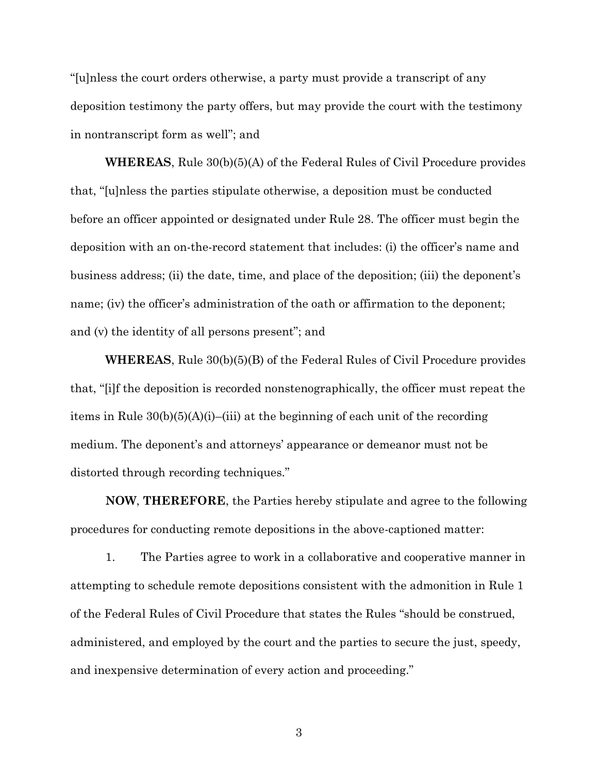"[u]nless the court orders otherwise, a party must provide a transcript of any deposition testimony the party offers, but may provide the court with the testimony in nontranscript form as well"; and

**WHEREAS**, Rule 30(b)(5)(A) of the Federal Rules of Civil Procedure provides that, "[u]nless the parties stipulate otherwise, a deposition must be conducted before an officer appointed or designated under Rule 28. The officer must begin the deposition with an on-the-record statement that includes: (i) the officer's name and business address; (ii) the date, time, and place of the deposition; (iii) the deponent's name; (iv) the officer's administration of the oath or affirmation to the deponent; and (v) the identity of all persons present"; and

**WHEREAS**, Rule 30(b)(5)(B) of the Federal Rules of Civil Procedure provides that, "[i]f the deposition is recorded nonstenographically, the officer must repeat the items in Rule 30(b)(5)(A)(i)–(iii) at the beginning of each unit of the recording medium. The deponent's and attorneys' appearance or demeanor must not be distorted through recording techniques."

**NOW**, **THEREFORE**, the Parties hereby stipulate and agree to the following procedures for conducting remote depositions in the above-captioned matter:

1. The Parties agree to work in a collaborative and cooperative manner in attempting to schedule remote depositions consistent with the admonition in Rule 1 of the Federal Rules of Civil Procedure that states the Rules "should be construed, administered, and employed by the court and the parties to secure the just, speedy, and inexpensive determination of every action and proceeding."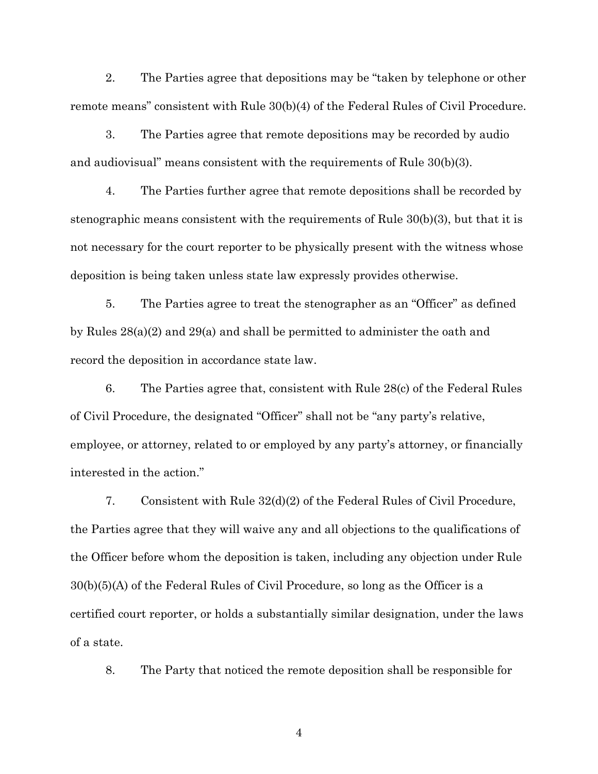2. The Parties agree that depositions may be "taken by telephone or other remote means" consistent with Rule 30(b)(4) of the Federal Rules of Civil Procedure.

3. The Parties agree that remote depositions may be recorded by audio and audiovisual" means consistent with the requirements of Rule 30(b)(3).

4. The Parties further agree that remote depositions shall be recorded by stenographic means consistent with the requirements of Rule 30(b)(3), but that it is not necessary for the court reporter to be physically present with the witness whose deposition is being taken unless state law expressly provides otherwise.

5. The Parties agree to treat the stenographer as an "Officer" as defined by Rules 28(a)(2) and 29(a) and shall be permitted to administer the oath and record the deposition in accordance state law.

6. The Parties agree that, consistent with Rule 28(c) of the Federal Rules of Civil Procedure, the designated "Officer" shall not be "any party's relative, employee, or attorney, related to or employed by any party's attorney, or financially interested in the action."

7. Consistent with Rule 32(d)(2) of the Federal Rules of Civil Procedure, the Parties agree that they will waive any and all objections to the qualifications of the Officer before whom the deposition is taken, including any objection under Rule 30(b)(5)(A) of the Federal Rules of Civil Procedure, so long as the Officer is a certified court reporter, or holds a substantially similar designation, under the laws of a state.

8. The Party that noticed the remote deposition shall be responsible for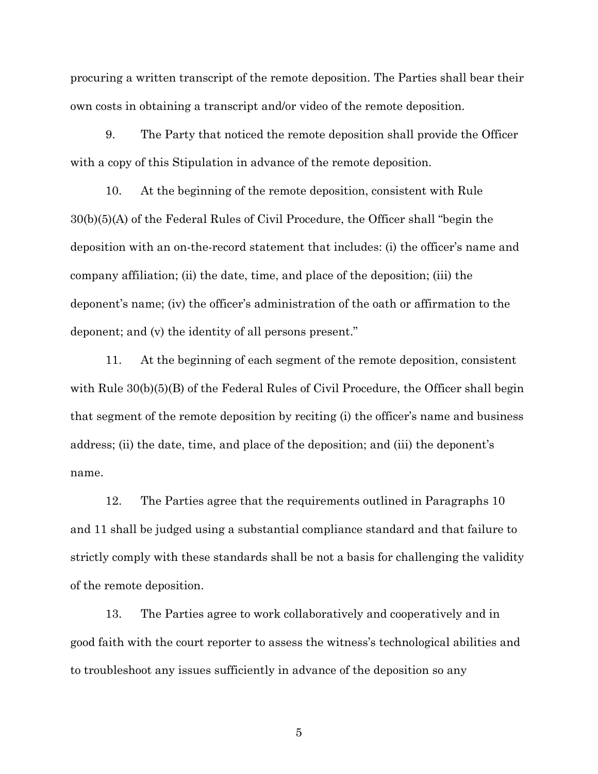procuring a written transcript of the remote deposition. The Parties shall bear their own costs in obtaining a transcript and/or video of the remote deposition.

9. The Party that noticed the remote deposition shall provide the Officer with a copy of this Stipulation in advance of the remote deposition.

10. At the beginning of the remote deposition, consistent with Rule 30(b)(5)(A) of the Federal Rules of Civil Procedure, the Officer shall "begin the deposition with an on-the-record statement that includes: (i) the officer's name and company affiliation; (ii) the date, time, and place of the deposition; (iii) the deponent's name; (iv) the officer's administration of the oath or affirmation to the deponent; and (v) the identity of all persons present."

11. At the beginning of each segment of the remote deposition, consistent with Rule  $30(b)(5)(B)$  of the Federal Rules of Civil Procedure, the Officer shall begin that segment of the remote deposition by reciting (i) the officer's name and business address; (ii) the date, time, and place of the deposition; and (iii) the deponent's name.

12. The Parties agree that the requirements outlined in Paragraphs 10 and 11 shall be judged using a substantial compliance standard and that failure to strictly comply with these standards shall be not a basis for challenging the validity of the remote deposition.

13. The Parties agree to work collaboratively and cooperatively and in good faith with the court reporter to assess the witness's technological abilities and to troubleshoot any issues sufficiently in advance of the deposition so any